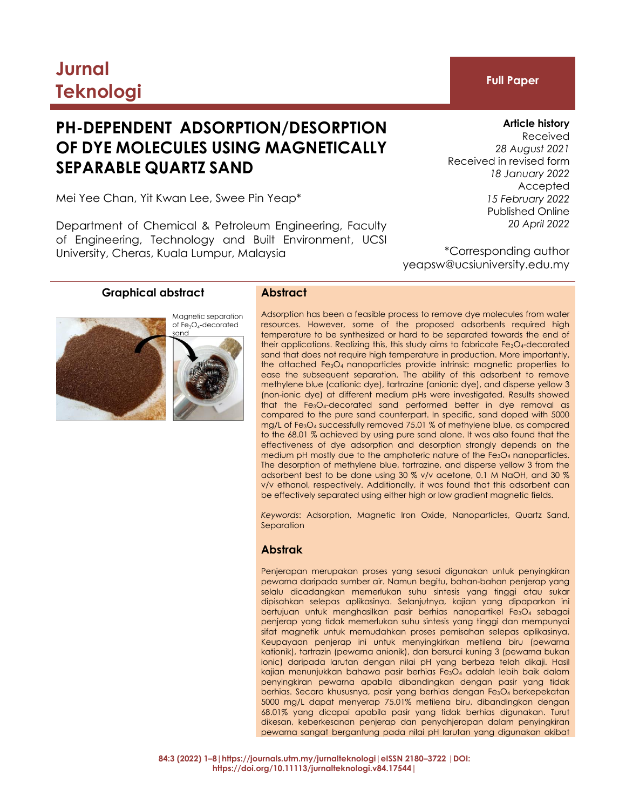# **Jurnal Teknologi Full Paper**

# **PH-DEPENDENT ADSORPTION/DESORPTION OF DYE MOLECULES USING MAGNETICALLY SEPARABLE QUARTZ SAND**

Mei Yee Chan, Yit Kwan Lee, Swee Pin Yeap\*

Department of Chemical & Petroleum Engineering, Faculty of Engineering, Technology and Built Environment, UCSI University, Cheras, Kuala Lumpur, Malaysia

Received *28 August 2021* Received in revised form *18 January 2022* Accepted *15 February 2022* Published Online *20 April 2022*

\*Corresponding author yeapsw@ucsiuniversity.edu.my

# **Graphical abstract Abstract**





Adsorption has been a feasible process to remove dye molecules from water resources. However, some of the proposed adsorbents required high temperature to be synthesized or hard to be separated towards the end of their applications. Realizing this, this study aims to fabricate Fe<sub>3</sub>O<sub>4</sub>-decorated sand that does not require high temperature in production. More importantly, the attached Fe3O4 nanoparticles provide intrinsic magnetic properties to ease the subsequent separation. The ability of this adsorbent to remove methylene blue (cationic dye), tartrazine (anionic dye), and disperse yellow 3 (non-ionic dye) at different medium pHs were investigated. Results showed that the Fe<sub>3</sub>O<sub>4</sub>-decorated sand performed better in dye removal as compared to the pure sand counterpart. In specific, sand doped with 5000 mg/L of Fe3O<sup>4</sup> successfully removed 75.01 % of methylene blue, as compared to the 68.01 % achieved by using pure sand alone. It was also found that the effectiveness of dye adsorption and desorption strongly depends on the medium pH mostly due to the amphoteric nature of the Fe3O4 nanoparticles. The desorption of methylene blue, tartrazine, and disperse yellow 3 from the adsorbent best to be done using 30 % v/v acetone, 0.1 M NaOH, and 30 % v/v ethanol, respectively. Additionally, it was found that this adsorbent can be effectively separated using either high or low gradient magnetic fields.

*Keywords*: Adsorption, Magnetic Iron Oxide, Nanoparticles, Quartz Sand, Separation

# **Abstrak**

Penjerapan merupakan proses yang sesuai digunakan untuk penyingkiran pewarna daripada sumber air. Namun begitu, bahan-bahan penjerap yang selalu dicadangkan memerlukan suhu sintesis yang tinggi atau sukar dipisahkan selepas aplikasinya. Selanjutnya, kajian yang dipaparkan ini bertujuan untuk menghasilkan pasir berhias nanopartikel Fe3O4 sebagai penjerap yang tidak memerlukan suhu sintesis yang tinggi dan mempunyai sifat magnetik untuk memudahkan proses pemisahan selepas aplikasinya. Keupayaan penjerap ini untuk menyingkirkan metilena biru (pewarna kationik), tartrazin (pewarna anionik), dan bersurai kuning 3 (pewarna bukan ionic) daripada larutan dengan nilai pH yang berbeza telah dikaji. Hasil kajian menunjukkan bahawa pasir berhias Fe3O<sup>4</sup> adalah lebih baik dalam penyingkiran pewarna apabila dibandingkan dengan pasir yang tidak berhias. Secara khususnya, pasir yang berhias dengan Fe3O<sup>4</sup> berkepekatan 5000 mg/L dapat menyerap 75.01% metilena biru, dibandingkan dengan 68.01% yang dicapai apabila pasir yang tidak berhias digunakan. Turut dikesan, keberkesanan penjerap dan penyahjerapan dalam penyingkiran pewarna sangat bergantung pada nilai pH larutan yang digunakan akibat

# **Article history**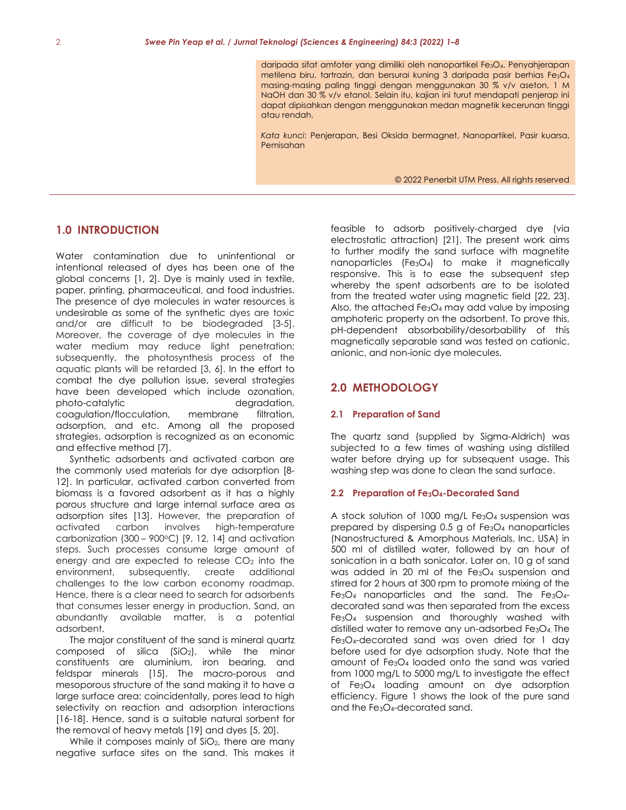daripada sifat amfoter yang dimiliki oleh nanopartikel Fe3O4. Penyahjerapan metilena biru, tartrazin, dan bersurai kuning 3 daripada pasir berhias Fe3O<sup>4</sup> masing-masing paling tinggi dengan menggunakan 30 % v/v aseton, 1 M NaOH dan 30 % v/v etanol. Selain itu, kajian ini turut mendapati penjerap ini dapat dipisahkan dengan menggunakan medan magnetik kecerunan tinggi atau rendah.

*Kata kunci*: Penjerapan, Besi Oksida bermagnet, Nanopartikel, Pasir kuarsa, Pemisahan

© 2022 Penerbit UTM Press. All rights reserved

# **1.0 INTRODUCTION**

Water contamination due to unintentional or intentional released of dyes has been one of the global concerns [\[1,](#page-6-0) [2\]](#page-6-1). Dye is mainly used in textile, paper, printing, pharmaceutical, and food industries. The presence of dye molecules in water resources is undesirable as some of the synthetic dyes are toxic and/or are difficult to be biodegraded [\[3-5\]](#page-6-2). Moreover, the coverage of dye molecules in the water medium may reduce light penetration; subsequently, the photosynthesis process of the aquatic plants will be retarded [\[3,](#page-6-2) [6\]](#page-6-3). In the effort to combat the dye pollution issue, several strategies have been developed which include ozonation, photo-catalytic degradation, coagulation/flocculation, membrane filtration, adsorption, and etc. Among all the proposed strategies, adsorption is recognized as an economic and effective method [\[7\]](#page-6-4).

Synthetic adsorbents and activated carbon are the commonly used materials for dye adsorption [\[8-](#page-6-5) [12\]](#page-6-5). In particular, activated carbon converted from biomass is a favored adsorbent as it has a highly porous structure and large internal surface area as adsorption sites [\[13\]](#page-6-6). However, the preparation of activated carbon involves high-temperature carbonization  $(300 - 900 \degree C)$  [\[9,](#page-6-7) [12,](#page-6-8) [14\]](#page-6-9) and activation steps. Such processes consume large amount of energy and are expected to release  $CO<sub>2</sub>$  into the environment, subsequently, create additional challenges to the low carbon economy roadmap. Hence, there is a clear need to search for adsorbents that consumes lesser energy in production. Sand, an abundantly available matter, is a potential adsorbent.

The major constituent of the sand is mineral quartz composed of silica  $(SiO<sub>2</sub>)$ , while the minor constituents are aluminium, iron bearing, and feldspar minerals [\[15\]](#page-6-10). The macro-porous and mesoporous structure of the sand making it to have a large surface area; coincidentally, pores lead to high selectivity on reaction and adsorption interactions [\[16-18\]](#page-6-11). Hence, sand is a suitable natural sorbent for the removal of heavy metals [\[19\]](#page-6-12) and dyes [\[5,](#page-6-13) [20\]](#page-6-14).

While it composes mainly of SiO<sub>2</sub>, there are many negative surface sites on the sand. This makes it

feasible to adsorb positively-charged dye (via electrostatic attraction) [\[21\]](#page-6-15). The present work aims to further modify the sand surface with magnetite nanoparticles (Fe3O4) to make it magnetically responsive. This is to ease the subsequent step whereby the spent adsorbents are to be isolated from the treated water using magnetic field [\[22,](#page-6-16) [23\]](#page-6-17). Also, the attached Fe3O<sup>4</sup> may add value by imposing amphoteric property on the adsorbent. To prove this, pH-dependent absorbability/desorbability of this magnetically separable sand was tested on cationic, anionic, and non-ionic dye molecules.

# **2.0 METHODOLOGY**

#### **2.1 Preparation of Sand**

The quartz sand (supplied by Sigma-Aldrich) was subjected to a few times of washing using distilled water before drying up for subsequent usage. This washing step was done to clean the sand surface.

#### **2.2 Preparation of Fe3O4-Decorated Sand**

A stock solution of 1000 mg/L Fe3O4 suspension was prepared by dispersing 0.5 g of Fe3O<sup>4</sup> nanoparticles (Nanostructured & Amorphous Materials, Inc, USA) in 500 ml of distilled water, followed by an hour of sonication in a bath sonicator. Later on, 10 g of sand was added in 20 ml of the Fe3O<sup>4</sup> suspension and stirred for 2 hours at 300 rpm to promote mixing of the  $Fe<sub>3</sub>O<sub>4</sub>$  nanoparticles and the sand. The  $Fe<sub>3</sub>O<sub>4</sub>$ decorated sand was then separated from the excess Fe3O<sup>4</sup> suspension and thoroughly washed with distilled water to remove any un-adsorbed Fe3O4. The Fe3O4-decorated sand was oven dried for 1 day before used for dye adsorption study. Note that the amount of Fe3O<sup>4</sup> loaded onto the sand was varied from 1000 mg/L to 5000 mg/L to investigate the effect of Fe3O<sup>4</sup> loading amount on dye adsorption efficiency. Figure 1 shows the look of the pure sand and the Fe3O4-decorated sand.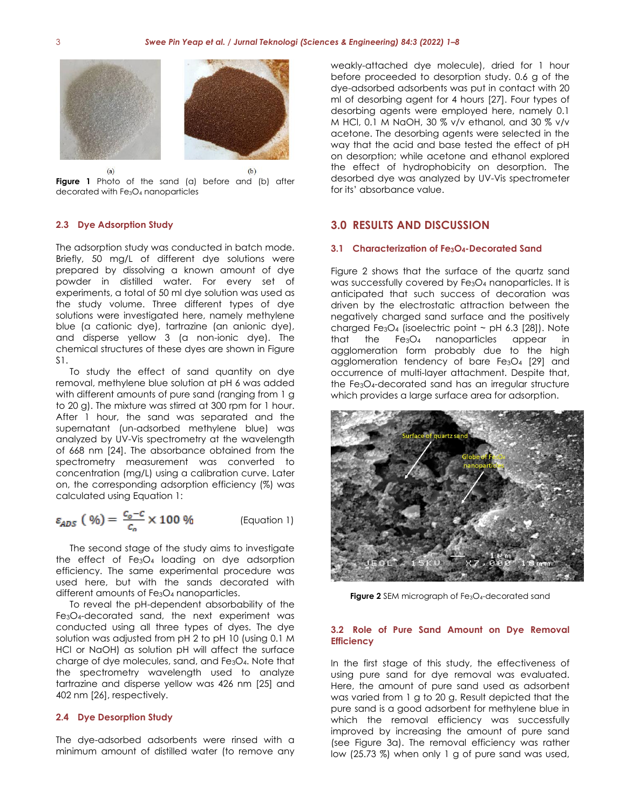



### **2.3 Dye Adsorption Study**

The adsorption study was conducted in batch mode. Briefly, 50 mg/L of different dye solutions were prepared by dissolving a known amount of dye powder in distilled water. For every set of experiments, a total of 50 ml dye solution was used as the study volume. Three different types of dye solutions were investigated here, namely methylene blue (a cationic dye), tartrazine (an anionic dye), and disperse yellow 3 (a non-ionic dye). The chemical structures of these dyes are shown in Figure S1.

To study the effect of sand quantity on dye removal, methylene blue solution at pH 6 was added with different amounts of pure sand (ranging from 1 g to 20 g). The mixture was stirred at 300 rpm for 1 hour. After 1 hour, the sand was separated and the supernatant (un-adsorbed methylene blue) was analyzed by UV-Vis spectrometry at the wavelength of 668 nm [\[24\]](#page-6-18). The absorbance obtained from the spectrometry measurement was converted to concentration (mg/L) using a calibration curve. Later on, the corresponding adsorption efficiency (%) was calculated using Equation 1:

$$
\varepsilon_{ADS} \left( \frac{\varphi_0}{\varphi_0} \right) = \frac{c_0 - c}{c_0} \times 100 \frac{\varphi_0}{\varphi_0} \quad \text{(Equation 1)}
$$

The second stage of the study aims to investigate the effect of  $Fe<sub>3</sub>O<sub>4</sub>$  loading on dye adsorption efficiency. The same experimental procedure was used here, but with the sands decorated with different amounts of Fe3O<sup>4</sup> nanoparticles.

To reveal the pH-dependent absorbability of the Fe3O4-decorated sand, the next experiment was conducted using all three types of dyes. The dye solution was adjusted from pH 2 to pH 10 (using 0.1 M HCl or NaOH) as solution pH will affect the surface charge of dye molecules, sand, and  $Fe<sub>3</sub>O<sub>4</sub>$ . Note that the spectrometry wavelength used to analyze tartrazine and disperse yellow was 426 nm [\[25\]](#page-6-19) and 402 nm [\[26\]](#page-6-20), respectively.

#### **2.4 Dye Desorption Study**

The dye-adsorbed adsorbents were rinsed with a minimum amount of distilled water (to remove any weakly-attached dye molecule), dried for 1 hour before proceeded to desorption study. 0.6 g of the dye-adsorbed adsorbents was put in contact with 20 ml of desorbing agent for 4 hours [\[27\]](#page-6-21). Four types of desorbing agents were employed here, namely 0.1 M HCl, 0.1 M NaOH, 30 % v/v ethanol, and 30 % v/v acetone. The desorbing agents were selected in the way that the acid and base tested the effect of pH on desorption; while acetone and ethanol explored the effect of hydrophobicity on desorption. The desorbed dye was analyzed by UV-Vis spectrometer for its' absorbance value.

# **3.0 RESULTS AND DISCUSSION**

### **3.1 Characterization of Fe3O4-Decorated Sand**

Figure 2 shows that the surface of the quartz sand was successfully covered by Fe<sub>3</sub>O<sub>4</sub> nanoparticles. It is anticipated that such success of decoration was driven by the electrostatic attraction between the negatively charged sand surface and the positively charged Fe<sub>3</sub>O<sub>4</sub> (isoelectric point  $\sim$  pH 6.3 [\[28\]](#page-7-0)). Note that the Fe3O4 nanoparticles appear in agglomeration form probably due to the high agglomeration tendency of bare Fe3O<sup>4</sup> [\[29\]](#page-7-1) and occurrence of multi-layer attachment. Despite that, the Fe3O4-decorated sand has an irregular structure which provides a large surface area for adsorption.



**Figure 2** SEM micrograph of Fe<sub>3</sub>O<sub>4</sub>-decorated sand

### **3.2 Role of Pure Sand Amount on Dye Removal Efficiency**

In the first stage of this study, the effectiveness of using pure sand for dye removal was evaluated. Here, the amount of pure sand used as adsorbent was varied from 1 g to 20 g. Result depicted that the pure sand is a good adsorbent for methylene blue in which the removal efficiency was successfully improved by increasing the amount of pure sand (see Figure 3a). The removal efficiency was rather low (25.73 %) when only 1 g of pure sand was used,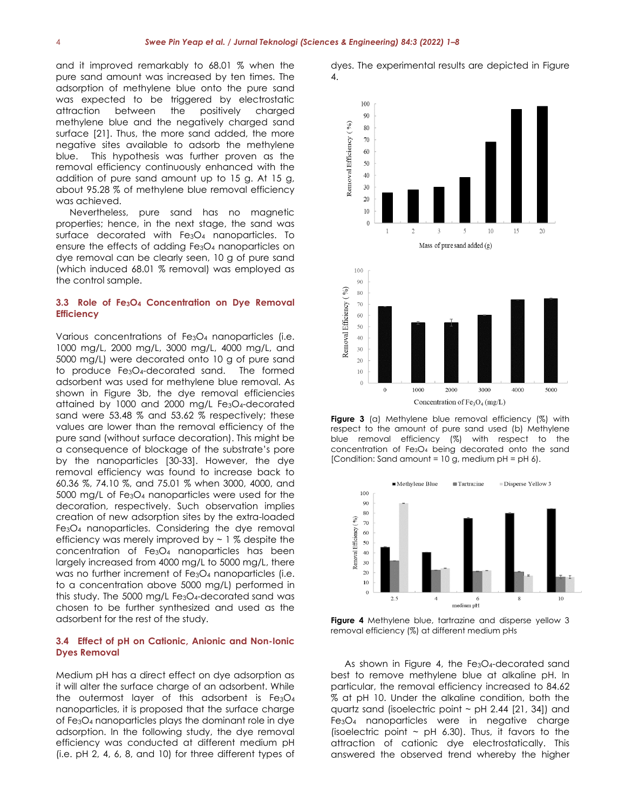and it improved remarkably to 68.01 % when the pure sand amount was increased by ten times. The adsorption of methylene blue onto the pure sand was expected to be triggered by electrostatic attraction between the positively charged methylene blue and the negatively charged sand surface [\[21\]](#page-6-15). Thus, the more sand added, the more negative sites available to adsorb the methylene blue. This hypothesis was further proven as the removal efficiency continuously enhanced with the addition of pure sand amount up to 15 g. At 15 g, about 95.28 % of methylene blue removal efficiency was achieved.

Nevertheless, pure sand has no magnetic properties; hence, in the next stage, the sand was surface decorated with Fe<sub>3</sub>O<sub>4</sub> nanoparticles. To ensure the effects of adding Fe3O<sup>4</sup> nanoparticles on dye removal can be clearly seen, 10 g of pure sand (which induced 68.01 % removal) was employed as the control sample.

# **3.3 Role of Fe3O<sup>4</sup> Concentration on Dye Removal Efficiency**

Various concentrations of Fe<sub>3</sub>O<sub>4</sub> nanoparticles (i.e. 1000 mg/L, 2000 mg/L, 3000 mg/L, 4000 mg/L, and 5000 mg/L) were decorated onto 10 g of pure sand to produce Fe3O4-decorated sand. The formed adsorbent was used for methylene blue removal. As shown in Figure 3b, the dye removal efficiencies attained by 1000 and 2000 mg/L Fe3O4-decorated sand were 53.48 % and 53.62 % respectively; these values are lower than the removal efficiency of the pure sand (without surface decoration). This might be a consequence of blockage of the substrate's pore by the nanoparticles [\[30-33\]](#page-7-2). However, the dye removal efficiency was found to increase back to 60.36 %, 74.10 %, and 75.01 % when 3000, 4000, and 5000 mg/L of Fe3O<sup>4</sup> nanoparticles were used for the decoration, respectively. Such observation implies creation of new adsorption sites by the extra-loaded Fe3O<sup>4</sup> nanoparticles. Considering the dye removal efficiency was merely improved by  $\sim$  1 % despite the concentration of Fe3O<sup>4</sup> nanoparticles has been largely increased from 4000 mg/L to 5000 mg/L, there was no further increment of Fe<sub>3</sub>O<sub>4</sub> nanoparticles (i.e. to a concentration above 5000 mg/L) performed in this study. The 5000 mg/L Fe3O4-decorated sand was chosen to be further synthesized and used as the adsorbent for the rest of the study.

## **3.4 Effect of pH on Cationic, Anionic and Non-Ionic Dyes Removal**

Medium pH has a direct effect on dye adsorption as it will alter the surface charge of an adsorbent. While the outermost layer of this adsorbent is  $Fe<sub>3</sub>O<sub>4</sub>$ nanoparticles, it is proposed that the surface charge of Fe3O<sup>4</sup> nanoparticles plays the dominant role in dye adsorption. In the following study, the dye removal efficiency was conducted at different medium pH (i.e. pH 2, 4, 6, 8, and 10) for three different types of





**Figure 3** (a) Methylene blue removal efficiency (%) with respect to the amount of pure sand used (b) Methylene blue removal efficiency (%) with respect to the concentration of Fe3O<sup>4</sup> being decorated onto the sand [Condition: Sand amount =  $10$  g, medium pH = pH 6].



**Figure 4** Methylene blue, tartrazine and disperse yellow 3 removal efficiency (%) at different medium pHs

As shown in Figure 4, the Fe<sub>3</sub>O<sub>4</sub>-decorated sand best to remove methylene blue at alkaline pH. In particular, the removal efficiency increased to 84.62 % at pH 10. Under the alkaline condition, both the quartz sand (isoelectric point  $\sim$  pH 2.44 [\[21,](#page-6-15) [34\]](#page-7-3)) and Fe3O<sup>4</sup> nanoparticles were in negative charge (isoelectric point  $\sim$  pH 6.30). Thus, it favors to the attraction of cationic dye electrostatically. This answered the observed trend whereby the higher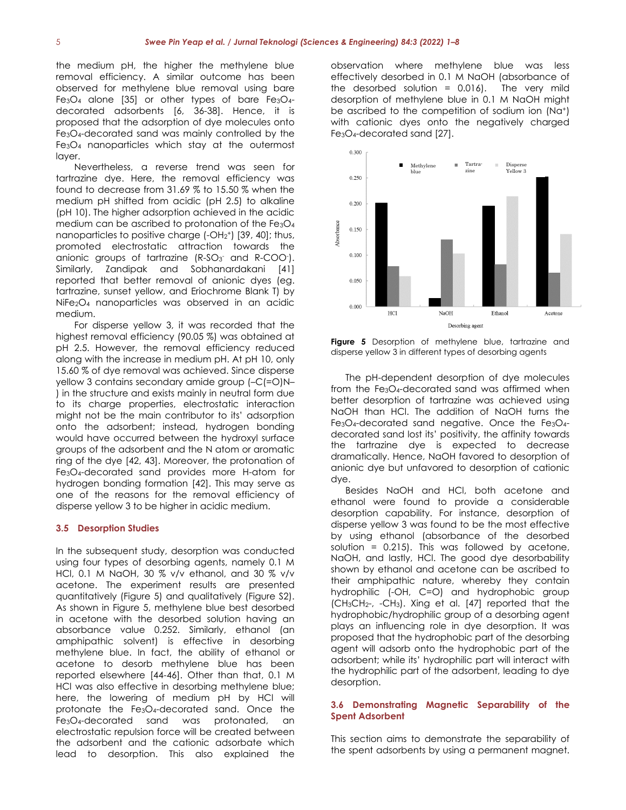the medium pH, the higher the methylene blue removal efficiency. A similar outcome has been observed for methylene blue removal using bare Fe<sub>3</sub>O<sub>4</sub> alone [\[35\]](#page-7-4) or other types of bare Fe<sub>3</sub>O<sub>4</sub>decorated adsorbents [\[6,](#page-6-3) [36-38\]](#page-7-5). Hence, it is proposed that the adsorption of dye molecules onto Fe3O4-decorated sand was mainly controlled by the Fe3O<sup>4</sup> nanoparticles which stay at the outermost layer.

Nevertheless, a reverse trend was seen for tartrazine dye. Here, the removal efficiency was found to decrease from 31.69 % to 15.50 % when the medium pH shifted from acidic (pH 2.5) to alkaline (pH 10). The higher adsorption achieved in the acidic medium can be ascribed to protonation of the Fe3O<sup>4</sup> nanoparticles to positive charge  $(-OH<sub>2</sub><sup>+</sup>)$  [\[39,](#page-7-6) [40\]](#page-7-7); thus, promoted electrostatic attraction towards the anionic groups of tartrazine  $(R-SO<sub>3</sub>$  and  $R-COO<sub>1</sub>$ . Similarly, Zandipak and Sobhanardakani [\[41\]](#page-7-8) reported that better removal of anionic dyes (eg. tartrazine, sunset yellow, and Eriochrome Blank T) by NiFe2O<sup>4</sup> nanoparticles was observed in an acidic medium.

For disperse yellow 3, it was recorded that the highest removal efficiency (90.05 %) was obtained at pH 2.5. However, the removal efficiency reduced along with the increase in medium pH. At pH 10, only 15.60 % of dye removal was achieved. Since disperse yellow 3 contains secondary amide group (–C(=O)N– ) in the structure and exists mainly in neutral form due to its charge properties, electrostatic interaction might not be the main contributor to its' adsorption onto the adsorbent; instead, hydrogen bonding would have occurred between the hydroxyl surface groups of the adsorbent and the N atom or aromatic ring of the dye [\[42,](#page-7-9) [43\]](#page-7-10). Moreover, the protonation of Fe3O4-decorated sand provides more H-atom for hydrogen bonding formation [\[42\]](#page-7-9). This may serve as one of the reasons for the removal efficiency of disperse yellow 3 to be higher in acidic medium.

#### **3.5 Desorption Studies**

In the subsequent study, desorption was conducted using four types of desorbing agents, namely 0.1 M HCl, 0.1 M NaOH, 30 % v/v ethanol, and 30 % v/v acetone. The experiment results are presented quantitatively (Figure 5) and qualitatively (Figure S2). As shown in Figure 5, methylene blue best desorbed in acetone with the desorbed solution having an absorbance value 0.252. Similarly, ethanol (an amphipathic solvent) is effective in desorbing methylene blue. In fact, the ability of ethanol or acetone to desorb methylene blue has been reported elsewhere [\[44-46\]](#page-7-11). Other than that, 0.1 M HCl was also effective in desorbing methylene blue; here, the lowering of medium pH by HCl will protonate the Fe3O4-decorated sand. Once the Fe3O4-decorated sand was protonated, an electrostatic repulsion force will be created between the adsorbent and the cationic adsorbate which lead to desorption. This also explained the

observation where methylene blue was less effectively desorbed in 0.1 M NaOH (absorbance of the desorbed solution  $= 0.016$ ). The very mild desorption of methylene blue in 0.1 M NaOH might be ascribed to the competition of sodium ion (Na<sup>+</sup>) with cationic dyes onto the negatively charged Fe3O4-decorated sand [\[27\]](#page-6-21).



**Figure 5** Desorption of methylene blue, tartrazine and disperse yellow 3 in different types of desorbing agents

The pH-dependent desorption of dye molecules from the Fe3O4-decorated sand was affirmed when better desorption of tartrazine was achieved using NaOH than HCl. The addition of NaOH turns the Fe3O4-decorated sand negative. Once the Fe3O4 decorated sand lost its' positivity, the affinity towards the tartrazine dye is expected to decrease dramatically. Hence, NaOH favored to desorption of anionic dye but unfavored to desorption of cationic dye.

Besides NaOH and HCl, both acetone and ethanol were found to provide a considerable desorption capability. For instance, desorption of disperse yellow 3 was found to be the most effective by using ethanol (absorbance of the desorbed solution =  $0.215$ ). This was followed by acetone, NaOH, and lastly, HCl. The good dye desorbability shown by ethanol and acetone can be ascribed to their amphipathic nature, whereby they contain hydrophilic (-OH, C=O) and hydrophobic group (CH3CH2-, -CH3). Xing et al. [\[47\]](#page-7-12) reported that the hydrophobic/hydrophilic group of a desorbing agent plays an influencing role in dye desorption. It was proposed that the hydrophobic part of the desorbing agent will adsorb onto the hydrophobic part of the adsorbent; while its' hydrophilic part will interact with the hydrophilic part of the adsorbent, leading to dye desorption.

# **3.6 Demonstrating Magnetic Separability of the Spent Adsorbent**

This section aims to demonstrate the separability of the spent adsorbents by using a permanent magnet.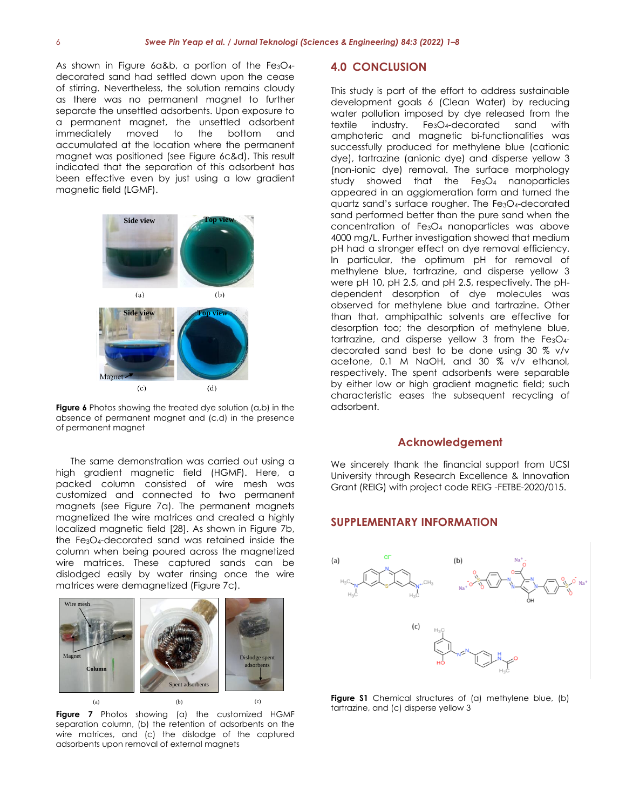As shown in Figure 6a&b, a portion of the Fe3O4decorated sand had settled down upon the cease of stirring. Nevertheless, the solution remains cloudy as there was no permanent magnet to further separate the unsettled adsorbents. Upon exposure to a permanent magnet, the unsettled adsorbent immediately moved to the bottom and accumulated at the location where the permanent magnet was positioned (see Figure 6c&d). This result indicated that the separation of this adsorbent has been effective even by just using a low gradient magnetic field (LGMF). <sup>1</sup>



**Figure 6** Photos showing the treated dye solution (a,b) in the absence of permanent magnet and (c,d) in the presence of permanent magnet

The same demonstration was carried out using a high gradient magnetic field (HGMF). Here, a packed column consisted of wire mesh was customized and connected to two permanent magnets (see Figure 7a). The permanent magnets magnetized the wire matrices and created a highly localized magnetic field [\[28\]](#page-7-0). As shown in Figure 7b, the Fe3O4-decorated sand was retained inside the column when being poured across the magnetized wire matrices. These captured sands can be dislodged easily by water rinsing once the wire matrices were demagnetized (Figure 7c).



**Figure 7** Photos showing (a) the customized HGMF separation column, (b) the retention of adsorbents on the wire matrices, and (c) the dislodge of the captured adsorbents upon removal of external magnets

# **4.0 CONCLUSION**

**Figure 1.** Photos showing the treated development and tartrazine. Other This study is part of the effort to address sustainable development goals 6 (Clean Water) by reducing water pollution imposed by dye released from the textile industry. Fe3O4-decorated sand with amphoteric and magnetic bi-functionalities was successfully produced for methylene blue (cationic dye), tartrazine (anionic dye) and disperse yellow 3 (non-ionic dye) removal. The surface morphology study showed that the Fe<sub>3</sub>O<sub>4</sub> nanoparticles appeared in an agglomeration form and turned the quartz sand's surface rougher. The Fe3O4-decorated sand performed better than the pure sand when the concentration of Fe3O4 nanoparticles was above 4000 mg/L. Further investigation showed that medium pH had a stronger effect on dye removal efficiency. In particular, the optimum pH for removal of methylene blue, tartrazine, and disperse yellow 3 were pH 10, pH 2.5, and pH 2.5, respectively. The pHdependent desorption of dye molecules was than that, amphipathic solvents are effective for desorption too; the desorption of methylene blue, tartrazine, and disperse yellow 3 from the  $Fe<sub>3</sub>O<sub>4</sub>$ decorated sand best to be done using 30 % v/v acetone, 0.1 M NaOH, and 30 % v/v ethanol, respectively. The spent adsorbents were separable by either low or high gradient magnetic field; such characteristic eases the subsequent recycling of adsorbent.

## **Acknowledgement**

We sincerely thank the financial support from UCSI University through Research Excellence & Innovation Grant (REIG) with project code REIG -FETBE-2020/015.

# **SUPPLEMENTARY INFORMATION**



**Figure S1** Chemical structures of (a) methylene blue, (b) tartrazine, and (c) disperse yellow 3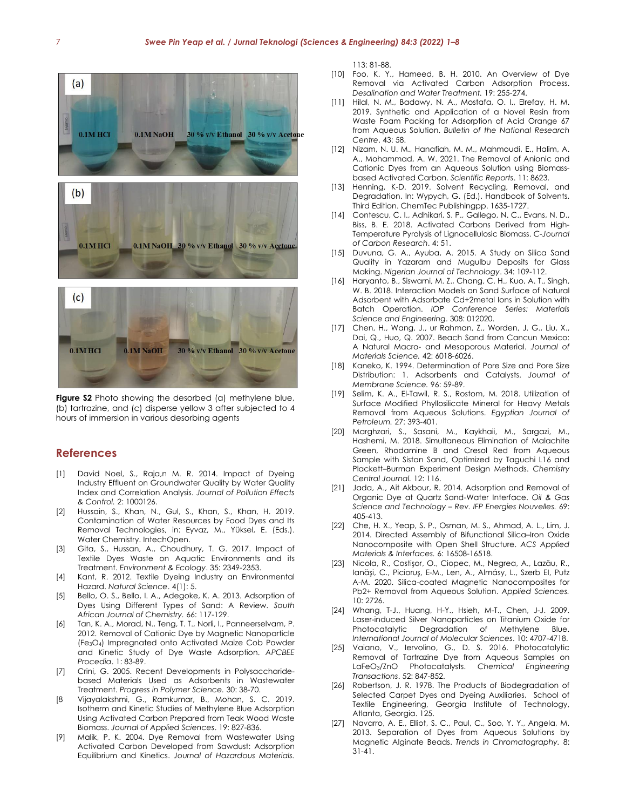

**Figure S2** Photo showing the desorbed (a) methylene blue, (b) tartrazine, and (c) disperse yellow 3 after subjected to 4 hours of immersion in various desorbing agents

# **References**

- <span id="page-6-0"></span>[1] David Noel, S., Raja,n M. R. 2014. Impact of Dyeing Industry Effluent on Groundwater Quality by Water Quality Index and Correlation Analysis. *Journal of Pollution Effects & Control.* 2: 1000126.
- <span id="page-6-1"></span>[2] Hussain, S., Khan, N., Gul, S., Khan, S., Khan, H. 2019. Contamination of Water Resources by Food Dyes and Its Removal Technologies, in: Eyvaz, M., Yüksel, E. (Eds.). Water Chemistry. IntechOpen.
- <span id="page-6-2"></span>[3] Gita, S., Hussan, A., Choudhury, T. G. 2017. Impact of Textile Dyes Waste on Aquatic Environments and its Treatment. *Environment & Ecology*. 35: 2349-2353.
- [4] Kant, R. 2012. Textile Dyeing Industry an Environmental Hazard. *Natural Science*. 4(1): 5.
- <span id="page-6-13"></span>[5] Bello, O. S., Bello, I. A., Adegoke, K. A. 2013. Adsorption of Dyes Using Different Types of Sand: A Review. *South African Journal of Chemistry.* 66: 117-129.
- <span id="page-6-3"></span>[6] Tan, K. A., Morad, N., Teng, T. T., Norli, I., Panneerselvam, P. 2012. Removal of Cationic Dye by Magnetic Nanoparticle (Fe3O4) Impregnated onto Activated Maize Cob Powder and Kinetic Study of Dye Waste Adsorption. *APCBEE Procedia*. 1: 83-89.
- <span id="page-6-4"></span>[7] Crini, G. 2005. Recent Developments in Polysaccharidebased Materials Used as Adsorbents in Wastewater Treatment. *Progress in Polymer Science.* 30: 38-70.
- <span id="page-6-5"></span>[8 Vijayalakshmi, G., Ramkumar, B., Mohan, S. C. 2019. Isotherm and Kinetic Studies of Methylene Blue Adsorption Using Activated Carbon Prepared from Teak Wood Waste Biomass. *Journal of Applied Sciences*. 19: 827-836.
- <span id="page-6-7"></span>[9] Malik, P. K. 2004. Dye Removal from Wastewater Using Activated Carbon Developed from Sawdust: Adsorption Equilibrium and Kinetics. *Journal of Hazardous Materials.*

113: 81-88.

- [10] Foo, K. Y., Hameed, B. H. 2010. An Overview of Dye Removal via Activated Carbon Adsorption Process. *Desalination and Water Treatment.* 19: 255-274.
- [11] Hilal, N. M., Badawy, N. A., Mostafa, O. I., Elrefay, H. M. 2019. Synthetic and Application of a Novel Resin from Waste Foam Packing for Adsorption of Acid Orange 67 from Aqueous Solution. *Bulletin of the National Research Centre*. 43: 58.
- <span id="page-6-8"></span>[12] Nizam, N. U. M., Hanafiah, M. M., Mahmoudi, E., Halim, A. A., Mohammad, A. W. 2021. The Removal of Anionic and Cationic Dyes from an Aqueous Solution using Biomassbased Activated Carbon. *Scientific Reports*. 11: 8623.
- <span id="page-6-6"></span>[13] Henning, K-D. 2019. Solvent Recycling, Removal, and Degradation. In: Wypych, G. (Ed.). Handbook of Solvents. Third Edition. ChemTec Publishingpp. 1635-1727.
- <span id="page-6-9"></span>[14] Contescu, C. I., Adhikari, S. P., Gallego, N. C., Evans, N. D., Biss, B. E. 2018. Activated Carbons Derived from High-Temperature Pyrolysis of Lignocellulosic Biomass. *C-Journal of Carbon Research*. 4: 51.
- <span id="page-6-10"></span>[15] Duvuna, G. A., Ayuba, A. 2015. A Study on Silica Sand Quality in Yazaram and Mugulbu Deposits for Glass Making. *Nigerian Journal of Technology*. 34: 109-112.
- <span id="page-6-11"></span>[16] Haryanto, B., Siswarni, M. Z., Chang, C. H., Kuo, A. T., Singh, W. B. 2018. Interaction Models on Sand Surface of Natural Adsorbent with Adsorbate Cd+2metal Ions in Solution with Batch Operation. *IOP Conference Series: Materials Science and Engineering*. 308: 012020.
- [17] Chen, H., Wang, J., ur Rahman, Z., Worden, J. G., Liu, X., Dai, Q., Huo, Q. 2007. Beach Sand from Cancun Mexico: A Natural Macro- and Mesoporous Material. *Journal of Materials Science.* 42: 6018-6026.
- [18] Kaneko, K. 1994. Determination of Pore Size and Pore Size Distribution: 1. Adsorbents and Catalysts. *Journal of Membrane Science.* 96: 59-89.
- <span id="page-6-12"></span>[19] Selim, K. A., El-Tawil, R. S., Rostom, M. 2018. Utilization of Surface Modified Phyllosilicate Mineral for Heavy Metals Removal from Aqueous Solutions. *Egyptian Journal of Petroleum.* 27: 393-401.
- <span id="page-6-14"></span>[20] Marghzari, S., Sasani, M., Kaykhaii, M., Sargazi, M., Hashemi, M. 2018. Simultaneous Elimination of Malachite Green, Rhodamine B and Cresol Red from Aqueous Sample with Sistan Sand, Optimized by Taguchi L16 and Plackett–Burman Experiment Design Methods. *Chemistry Central Journal.* 12: 116.
- <span id="page-6-15"></span>[21] Jada, A., Ait Akbour, R. 2014. Adsorption and Removal of Organic Dye at Quartz Sand-Water Interface. *Oil & Gas Science and Technology – Rev. IFP Energies Nouvelles.* 69: 405-413.
- <span id="page-6-16"></span>[22] Che, H. X., Yeap, S. P., Osman, M. S., Ahmad, A. L., Lim, J. 2014. Directed Assembly of Bifunctional Silica–Iron Oxide Nanocomposite with Open Shell Structure. *ACS Applied Materials & Interfaces.* 6: 16508-16518.
- <span id="page-6-17"></span>[23] Nicola, R., Costişor, O., Ciopec, M., Negrea, A., Lazău, R., Ianăşi, C., Picioruş, E-M., Len, A., Almásy, L., Szerb EI, Putz A-M. 2020. Silica-coated Magnetic Nanocomposites for Pb2+ Removal from Aqueous Solution. *Applied Sciences.* 10: 2726.
- <span id="page-6-18"></span>[24] Whang, T-J., Huang, H-Y., Hsieh, M-T., Chen, J-J. 2009. Laser-induced Silver Nanoparticles on Titanium Oxide for Photocatalytic Degradation of Methylene Blue. *International Journal of Molecular Sciences*. 10: 4707-4718.
- <span id="page-6-19"></span>[25] Vaiano, V., Iervolino, G., D. S. 2016. Photocatalytic Removal of Tartrazine Dye from Aqueous Samples on LaFeO3/ZnO Photocatalysts. *Chemical Engineering Transactions*. 52: 847-852.
- <span id="page-6-20"></span>[26] Robertson, J. R. 1978. The Products of Biodegradation of Selected Carpet Dyes and Dyeing Auxiliaries, School of Textile Engineering, Georgia Institute of Technology, Atlanta, Georgia. 125.
- <span id="page-6-21"></span>[27] Navarro, A. E., Elliot, S. C., Paul, C., Soo, Y. Y., Angela, M. 2013. Separation of Dyes from Aqueous Solutions by Magnetic Alginate Beads. *Trends in Chromatography.* 8: 31-41.